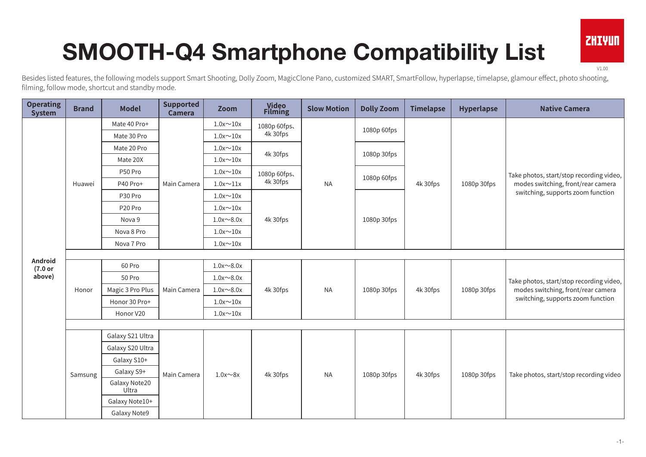## SMOOTH-Q4 Smartphone Compatibility List

V1.00

**ZHIVUN** 

Besides listed features, the following models support Smart Shooting, Dolly Zoom, MagicClone Pano, customized SMART, SmartFollow, hyperlapse, timelapse, glamour effect, photo shooting, filming, follow mode, shortcut and standby mode.

| <b>Operating</b><br><b>System</b> | <b>Brand</b> | <b>Model</b>           | <b>Supported</b><br><b>Camera</b> | Zoom             | <b>Video<br/>Filming</b> | <b>Slow Motion</b> | <b>Dolly Zoom</b> | <b>Timelapse</b> | Hyperlapse  | <b>Native Camera</b>                                                                                                |
|-----------------------------------|--------------|------------------------|-----------------------------------|------------------|--------------------------|--------------------|-------------------|------------------|-------------|---------------------------------------------------------------------------------------------------------------------|
|                                   | Huawei       | Mate 40 Pro+           | Main Camera                       | $1.0x \sim 10x$  | 1080p 60fps.             |                    | 1080p 60fps       |                  |             | Take photos, start/stop recording video,<br>modes switching, front/rear camera<br>switching, supports zoom function |
|                                   |              | Mate 30 Pro            |                                   | $1.0x \sim 10x$  | 4k 30fps                 |                    |                   |                  | 1080p 30fps |                                                                                                                     |
|                                   |              | Mate 20 Pro            |                                   | $1.0x \sim 10x$  |                          |                    |                   |                  |             |                                                                                                                     |
|                                   |              | Mate 20X               |                                   | $1.0x \sim 10x$  | 4k 30fps                 |                    | 1080p 30fps       |                  |             |                                                                                                                     |
|                                   |              | P50 Pro                |                                   | $1.0x \sim 10x$  | 1080p 60fps.             |                    |                   |                  |             |                                                                                                                     |
|                                   |              | P40 Pro+               |                                   | $1.0x \sim 11x$  | 4k 30fps                 | <b>NA</b>          | 1080p 60fps       | 4k 30fps         |             |                                                                                                                     |
|                                   |              | P30 Pro                |                                   | $1.0x \sim 10x$  | 4k 30fps                 |                    |                   |                  |             |                                                                                                                     |
|                                   |              | P20 Pro                |                                   | $1.0x \sim 10x$  |                          |                    | 1080p 30fps       |                  |             |                                                                                                                     |
|                                   |              | Nova 9                 |                                   | $1.0x \sim 8.0x$ |                          |                    |                   |                  |             |                                                                                                                     |
|                                   |              | Nova 8 Pro             |                                   | $1.0x \sim 10x$  |                          |                    |                   |                  |             |                                                                                                                     |
|                                   |              | Nova 7 Pro             |                                   | $1.0x \sim 10x$  |                          |                    |                   |                  |             |                                                                                                                     |
| Android                           |              |                        |                                   |                  |                          |                    |                   |                  |             |                                                                                                                     |
| (7.0 or                           | Honor        | 60 Pro                 | Main Camera                       | $1.0x \sim 8.0x$ | 4k 30fps                 | <b>NA</b>          | 1080p 30fps       | 4k 30fps         | 1080p 30fps | Take photos, start/stop recording video,<br>modes switching, front/rear camera<br>switching, supports zoom function |
| above)                            |              | 50 Pro                 |                                   | $1.0x \sim 8.0x$ |                          |                    |                   |                  |             |                                                                                                                     |
|                                   |              | Magic 3 Pro Plus       |                                   | $1.0x \sim 8.0x$ |                          |                    |                   |                  |             |                                                                                                                     |
|                                   |              | Honor 30 Pro+          |                                   | $1.0x \sim 10x$  |                          |                    |                   |                  |             |                                                                                                                     |
|                                   |              | Honor V20              |                                   | $1.0x \sim 10x$  |                          |                    |                   |                  |             |                                                                                                                     |
|                                   |              |                        |                                   |                  |                          |                    |                   |                  |             |                                                                                                                     |
|                                   | Samsung      | Galaxy S21 Ultra       | Main Camera                       |                  | 4k 30fps                 | <b>NA</b>          | 1080p 30fps       | 4k 30fps         | 1080p 30fps | Take photos, start/stop recording video                                                                             |
|                                   |              | Galaxy S20 Ultra       |                                   |                  |                          |                    |                   |                  |             |                                                                                                                     |
|                                   |              | Galaxy S10+            |                                   |                  |                          |                    |                   |                  |             |                                                                                                                     |
|                                   |              | Galaxy S9+             |                                   | $1.0x \sim 8x$   |                          |                    |                   |                  |             |                                                                                                                     |
|                                   |              | Galaxy Note20<br>Ultra |                                   |                  |                          |                    |                   |                  |             |                                                                                                                     |
|                                   |              | Galaxy Note10+         |                                   |                  |                          |                    |                   |                  |             |                                                                                                                     |
|                                   |              | Galaxy Note9           |                                   |                  |                          |                    |                   |                  |             |                                                                                                                     |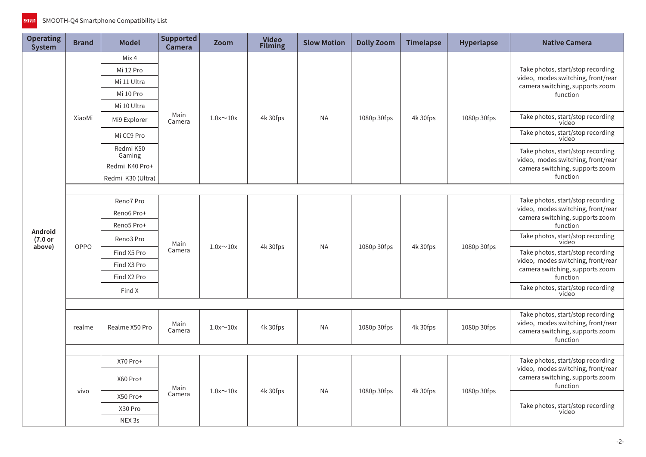| <b>Operating</b><br><b>System</b> | <b>Brand</b> | <b>Model</b>        | <b>Supported</b><br><b>Camera</b> | <b>Zoom</b>     | Video<br>Filming | <b>Slow Motion</b> | <b>Dolly Zoom</b> | <b>Timelapse</b> | Hyperlapse  | <b>Native Camera</b>                                                                                                   |  |
|-----------------------------------|--------------|---------------------|-----------------------------------|-----------------|------------------|--------------------|-------------------|------------------|-------------|------------------------------------------------------------------------------------------------------------------------|--|
|                                   |              | Mix 4               | Main<br>Camera                    | $1.0x \sim 10x$ | 4k 30fps         | <b>NA</b>          | 1080p 30fps       | 4k 30fps         | 1080p 30fps | Take photos, start/stop recording                                                                                      |  |
|                                   | XiaoMi       | Mi 12 Pro           |                                   |                 |                  |                    |                   |                  |             |                                                                                                                        |  |
|                                   |              | Mi 11 Ultra         |                                   |                 |                  |                    |                   |                  |             | video, modes switching, front/rear<br>camera switching, supports zoom                                                  |  |
|                                   |              | Mi 10 Pro           |                                   |                 |                  |                    |                   |                  |             | function                                                                                                               |  |
|                                   |              | Mi 10 Ultra         |                                   |                 |                  |                    |                   |                  |             |                                                                                                                        |  |
|                                   |              | Mi9 Explorer        |                                   |                 |                  |                    |                   |                  |             | Take photos, start/stop recording<br>video                                                                             |  |
|                                   |              | Mi CC9 Pro          |                                   |                 |                  |                    |                   |                  |             | Take photos, start/stop recording<br>video                                                                             |  |
|                                   |              | Redmi K50<br>Gaming |                                   |                 |                  |                    |                   |                  |             | Take photos, start/stop recording<br>video, modes switching, front/rear                                                |  |
|                                   |              | Redmi K40 Pro+      |                                   |                 |                  |                    |                   |                  |             | camera switching, supports zoom                                                                                        |  |
|                                   |              | Redmi K30 (Ultra)   |                                   |                 |                  |                    |                   |                  |             | function                                                                                                               |  |
|                                   |              |                     |                                   |                 |                  |                    |                   |                  |             |                                                                                                                        |  |
|                                   |              | Reno7 Pro           | Main<br>Camera                    | $1.0x \sim 10x$ | 4k 30fps         | <b>NA</b>          | 1080p 30fps       | 4k 30fps         | 1080p 30fps | Take photos, start/stop recording<br>video, modes switching, front/rear                                                |  |
|                                   | OPPO         | Reno6 Pro+          |                                   |                 |                  |                    |                   |                  |             | camera switching, supports zoom                                                                                        |  |
| Android                           |              | Reno5 Pro+          |                                   |                 |                  |                    |                   |                  |             | function                                                                                                               |  |
| (7.0 or                           |              | Reno3 Pro           |                                   |                 |                  |                    |                   |                  |             | Take photos, start/stop recording<br>video                                                                             |  |
| above)                            |              | Find X5 Pro         |                                   |                 |                  |                    |                   |                  |             | Take photos, start/stop recording                                                                                      |  |
|                                   |              | Find X3 Pro         |                                   |                 |                  |                    |                   |                  |             | video, modes switching, front/rear<br>camera switching, supports zoom                                                  |  |
|                                   |              | Find X2 Pro         |                                   |                 |                  |                    |                   |                  |             | function                                                                                                               |  |
|                                   |              | Find X              |                                   |                 |                  |                    |                   |                  |             | Take photos, start/stop recording<br>video                                                                             |  |
|                                   |              |                     |                                   |                 |                  |                    |                   |                  |             |                                                                                                                        |  |
|                                   | realme       | Realme X50 Pro      | Main<br>Camera                    | $1.0x \sim 10x$ | 4k 30fps         | <b>NA</b>          | 1080p 30fps       | 4k 30fps         | 1080p 30fps | Take photos, start/stop recording<br>video, modes switching, front/rear<br>camera switching, supports zoom<br>function |  |
|                                   |              |                     |                                   |                 |                  |                    |                   |                  |             |                                                                                                                        |  |
|                                   | vivo         | X70 Pro+            | Main<br>Camera                    | $1.0x \sim 10x$ | 4k 30fps         | <b>NA</b>          | 1080p 30fps       | 4k 30fps         | 1080p 30fps | Take photos, start/stop recording<br>video, modes switching, front/rear                                                |  |
|                                   |              | X60 Pro+            |                                   |                 |                  |                    |                   |                  |             | camera switching, supports zoom<br>function                                                                            |  |
|                                   |              | X50 Pro+            |                                   |                 |                  |                    |                   |                  |             |                                                                                                                        |  |
|                                   |              | X30 Pro             |                                   |                 |                  |                    |                   |                  |             | Take photos, start/stop recording<br>video                                                                             |  |
|                                   |              | NEX <sub>3s</sub>   |                                   |                 |                  |                    |                   |                  |             |                                                                                                                        |  |